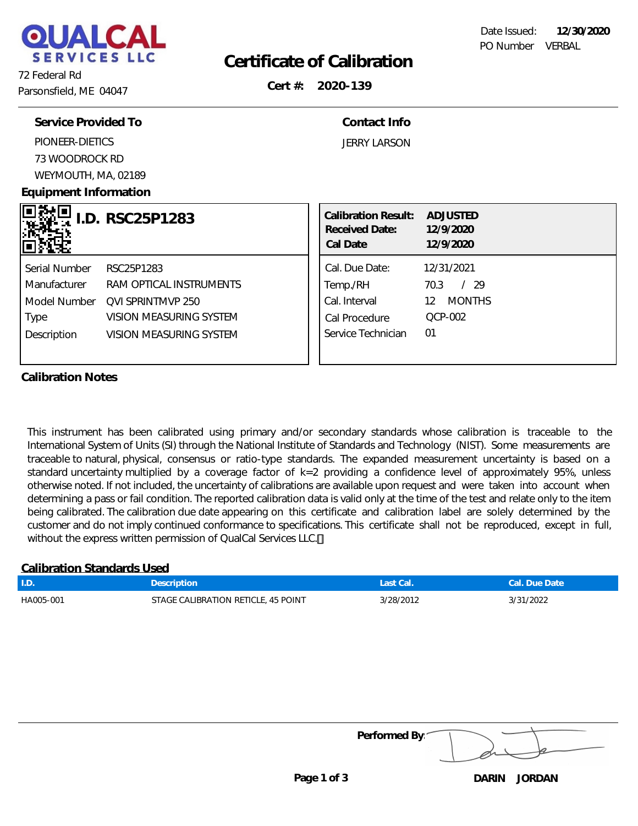

### **Certificate of Calibration**

72 Federal Rd Parsonsfield, ME 04047

**Cert #: 2020-139**

| Service Provided To   |                         | Contact Info                                             |                                    |
|-----------------------|-------------------------|----------------------------------------------------------|------------------------------------|
| PIONEER-DIETICS       |                         | <b>JERRY LARSON</b>                                      |                                    |
| 73 WOODROCK RD        |                         |                                                          |                                    |
| WEYMOUTH, MA, 02189   |                         |                                                          |                                    |
| Equipment Information |                         |                                                          |                                    |
|                       | I.D. RSC25P1283         | <b>Calibration Result:</b><br>Received Date:<br>Cal Date | ADJUSTED<br>12/9/2020<br>12/9/2020 |
| Serial Number         | RSC25P1283              | Cal. Due Date:                                           | 12/31/2021                         |
| <b>Manufacturer</b>   | RAM OPTICAL INSTRUMENTS | Temp./RH                                                 | /29<br>70.3                        |
| Model Number          | OVI SPRINTMVP 250       | Cal. Interval                                            | 12 MONTHS                          |
| Type                  | VISION MEASURING SYSTEM | Cal Procedure                                            | <b>QCP-002</b>                     |
| Description           | VISION MEASURING SYSTEM | Service Technician                                       | 01                                 |
|                       |                         |                                                          |                                    |

#### **Calibration Notes**

This instrument has been calibrated using primary and/or secondary standards whose calibration is traceable to the International System of Units (SI) through the National Institute of Standards and Technology (NIST). Some measurements are traceable to natural, physical, consensus or ratio-type standards. The expanded measurement uncertainty is based on a standard uncertainty multiplied by a coverage factor of k=2 providing a confidence level of approximately 95%, unless otherwise noted. If not included, the uncertainty of calibrations are available upon request and were taken into account when determining a pass or fail condition. The reported calibration data is valid only at the time of the test and relate only to the item being calibrated. The calibration due date appearing on this certificate and calibration label are solely determined by the customer and do not imply continued conformance to specifications. This certificate shall not be reproduced, except in full, without the express written permission of QualCal Services LLC.

#### **Calibration Standards Used**

| $\mathsf{L}$ | Description                         | Last Cal. | Cal. Due Date |
|--------------|-------------------------------------|-----------|---------------|
| HA005-001    | STAGE CALIBRATION RETICLE, 45 POINT | 3/28/2012 | 3/31/2022     |

**Performed By:**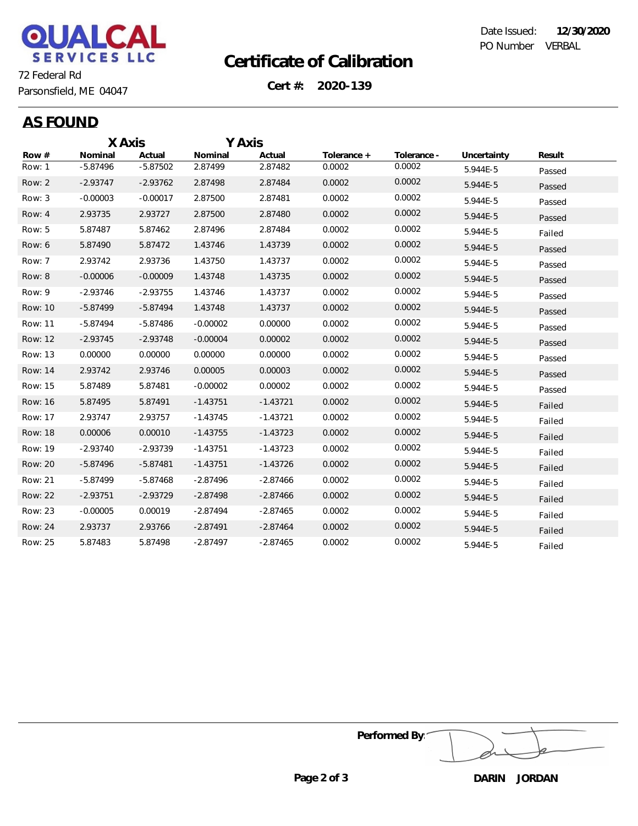

# **Certificate of Calibration**

Date Issued: **12/30/2020** PO Number VERBAL

**Cert #: 2020-139**

Parsonsfield, ME 04047

|  |  | t<br>$\cdot$ | $\mathbf{I}$<br>N<br>г |  |
|--|--|--------------|------------------------|--|
|--|--|--------------|------------------------|--|

|                | X Axis     |            | Y Axis     |            |             |             |             |        |
|----------------|------------|------------|------------|------------|-------------|-------------|-------------|--------|
| Row $#$        | Nominal    | Actual     | Nominal    | Actual     | Tolerance + | Tolerance - | Uncertainty | Result |
| Row: 1         | $-5.87496$ | $-5.87502$ | 2.87499    | 2.87482    | 0.0002      | 0.0002      | 5.944E-5    | Passed |
| Row: 2         | $-2.93747$ | $-2.93762$ | 2.87498    | 2.87484    | 0.0002      | 0.0002      | 5.944E-5    | Passed |
| Row: 3         | $-0.00003$ | $-0.00017$ | 2.87500    | 2.87481    | 0.0002      | 0.0002      | 5.944E-5    | Passed |
| Row: 4         | 2.93735    | 2.93727    | 2.87500    | 2.87480    | 0.0002      | 0.0002      | 5.944E-5    | Passed |
| Row: 5         | 5.87487    | 5.87462    | 2.87496    | 2.87484    | 0.0002      | 0.0002      | 5.944E-5    | Failed |
| Row: 6         | 5.87490    | 5.87472    | 1.43746    | 1.43739    | 0.0002      | 0.0002      | 5.944E-5    | Passed |
| Row: 7         | 2.93742    | 2.93736    | 1.43750    | 1.43737    | 0.0002      | 0.0002      | 5.944E-5    | Passed |
| Row: 8         | $-0.00006$ | $-0.00009$ | 1.43748    | 1.43735    | 0.0002      | 0.0002      | 5.944E-5    | Passed |
| Row: 9         | $-2.93746$ | $-2.93755$ | 1.43746    | 1.43737    | 0.0002      | 0.0002      | 5.944E-5    | Passed |
| Row: 10        | $-5.87499$ | $-5.87494$ | 1.43748    | 1.43737    | 0.0002      | 0.0002      | 5.944E-5    | Passed |
| Row: 11        | $-5.87494$ | $-5.87486$ | $-0.00002$ | 0.00000    | 0.0002      | 0.0002      | 5.944E-5    | Passed |
| Row: 12        | $-2.93745$ | $-2.93748$ | $-0.00004$ | 0.00002    | 0.0002      | 0.0002      | 5.944E-5    | Passed |
| Row: 13        | 0.00000    | 0.00000    | 0.00000    | 0.00000    | 0.0002      | 0.0002      | 5.944E-5    | Passed |
| Row: 14        | 2.93742    | 2.93746    | 0.00005    | 0.00003    | 0.0002      | 0.0002      | 5.944E-5    | Passed |
| Row: 15        | 5.87489    | 5.87481    | $-0.00002$ | 0.00002    | 0.0002      | 0.0002      | 5.944E-5    | Passed |
| Row: 16        | 5.87495    | 5.87491    | $-1.43751$ | $-1.43721$ | 0.0002      | 0.0002      | 5.944E-5    | Failed |
| Row: 17        | 2.93747    | 2.93757    | $-1.43745$ | $-1.43721$ | 0.0002      | 0.0002      | 5.944E-5    | Failed |
| <b>Row: 18</b> | 0.00006    | 0.00010    | $-1.43755$ | $-1.43723$ | 0.0002      | 0.0002      | 5.944E-5    | Failed |
| Row: 19        | $-2.93740$ | $-2.93739$ | $-1.43751$ | $-1.43723$ | 0.0002      | 0.0002      | 5.944E-5    | Failed |
| Row: 20        | $-5.87496$ | $-5.87481$ | $-1.43751$ | $-1.43726$ | 0.0002      | 0.0002      | 5.944E-5    | Failed |
| Row: 21        | $-5.87499$ | $-5.87468$ | $-2.87496$ | $-2.87466$ | 0.0002      | 0.0002      | 5.944E-5    | Failed |
| Row: 22        | $-2.93751$ | $-2.93729$ | $-2.87498$ | $-2.87466$ | 0.0002      | 0.0002      | 5.944E-5    | Failed |
| Row: 23        | $-0.00005$ | 0.00019    | $-2.87494$ | $-2.87465$ | 0.0002      | 0.0002      | 5.944E-5    | Failed |
| Row: 24        | 2.93737    | 2.93766    | $-2.87491$ | $-2.87464$ | 0.0002      | 0.0002      | 5.944E-5    | Failed |
| Row: 25        | 5.87483    | 5.87498    | $-2.87497$ | $-2.87465$ | 0.0002      | 0.0002      | 5.944E-5    | Failed |

**Performed By:**